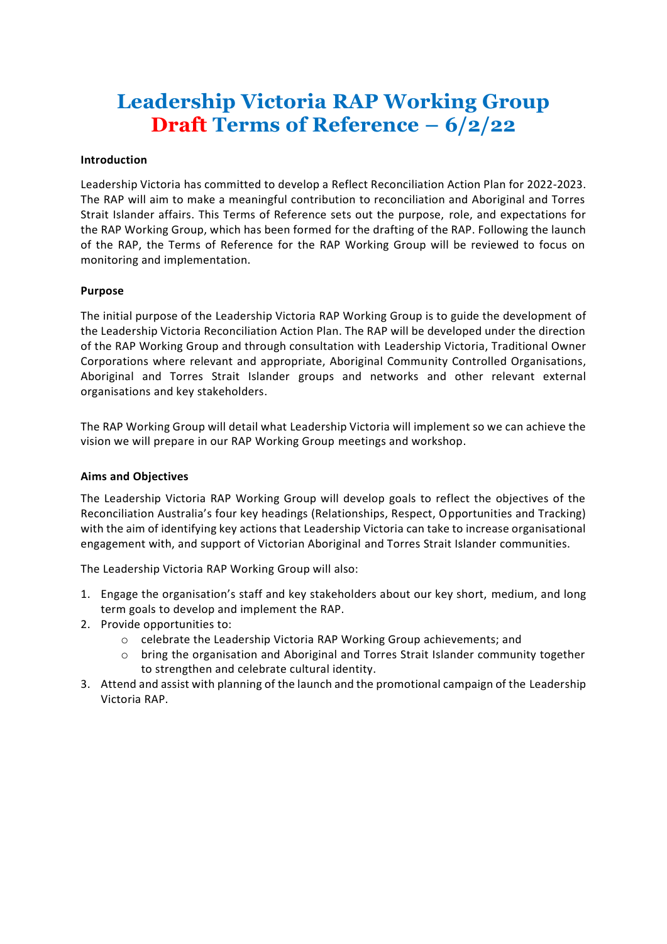# **Leadership Victoria RAP Working Group Draft Terms of Reference – 6/2/22**

### **Introduction**

Leadership Victoria has committed to develop a Reflect Reconciliation Action Plan for 2022-2023. The RAP will aim to make a meaningful contribution to reconciliation and Aboriginal and Torres Strait Islander affairs. This Terms of Reference sets out the purpose, role, and expectations for the RAP Working Group, which has been formed for the drafting of the RAP. Following the launch of the RAP, the Terms of Reference for the RAP Working Group will be reviewed to focus on monitoring and implementation.

#### **Purpose**

The initial purpose of the Leadership Victoria RAP Working Group is to guide the development of the Leadership Victoria Reconciliation Action Plan. The RAP will be developed under the direction of the RAP Working Group and through consultation with Leadership Victoria, Traditional Owner Corporations where relevant and appropriate, Aboriginal Community Controlled Organisations, Aboriginal and Torres Strait Islander groups and networks and other relevant external organisations and key stakeholders.

The RAP Working Group will detail what Leadership Victoria will implement so we can achieve the vision we will prepare in our RAP Working Group meetings and workshop.

### **Aims and Objectives**

The Leadership Victoria RAP Working Group will develop goals to reflect the objectives of the Reconciliation Australia's four key headings (Relationships, Respect, Opportunities and Tracking) with the aim of identifying key actions that Leadership Victoria can take to increase organisational engagement with, and support of Victorian Aboriginal and Torres Strait Islander communities.

The Leadership Victoria RAP Working Group will also:

- 1. Engage the organisation's staff and key stakeholders about our key short, medium, and long term goals to develop and implement the RAP.
- 2. Provide opportunities to:
	- o celebrate the Leadership Victoria RAP Working Group achievements; and
	- o bring the organisation and Aboriginal and Torres Strait Islander community together to strengthen and celebrate cultural identity.
- 3. Attend and assist with planning of the launch and the promotional campaign of the Leadership Victoria RAP.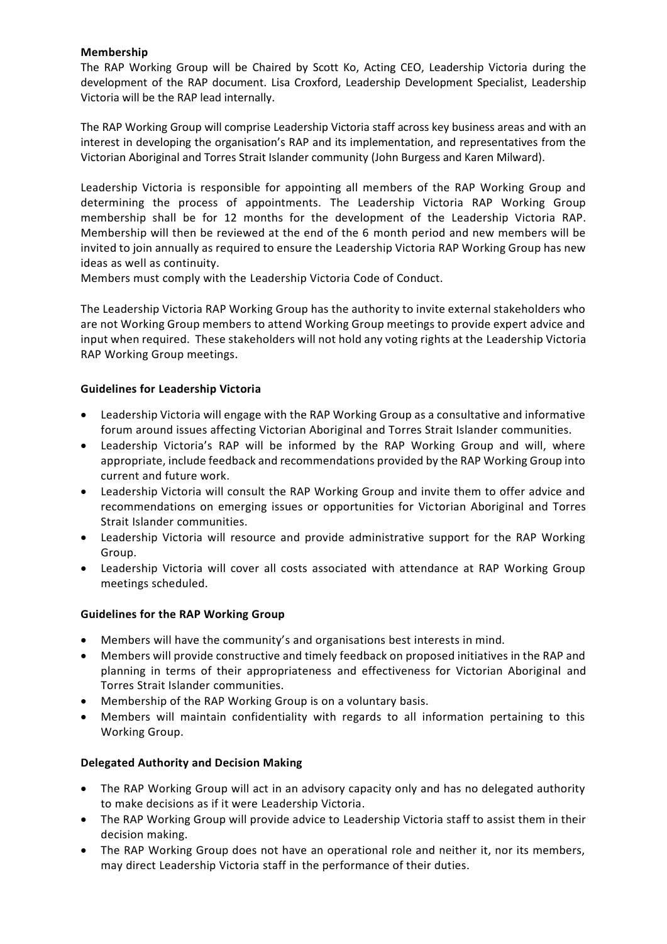# **Membership**

The RAP Working Group will be Chaired by Scott Ko, Acting CEO, Leadership Victoria during the development of the RAP document. Lisa Croxford, Leadership Development Specialist, Leadership Victoria will be the RAP lead internally.

The RAP Working Group will comprise Leadership Victoria staff across key business areas and with an interest in developing the organisation's RAP and its implementation, and representatives from the Victorian Aboriginal and Torres Strait Islander community (John Burgess and Karen Milward).

Leadership Victoria is responsible for appointing all members of the RAP Working Group and determining the process of appointments. The Leadership Victoria RAP Working Group membership shall be for 12 months for the development of the Leadership Victoria RAP. Membership will then be reviewed at the end of the 6 month period and new members will be invited to join annually as required to ensure the Leadership Victoria RAP Working Group has new ideas as well as continuity.

Members must comply with the Leadership Victoria Code of Conduct.

The Leadership Victoria RAP Working Group has the authority to invite external stakeholders who are not Working Group members to attend Working Group meetings to provide expert advice and input when required. These stakeholders will not hold any voting rights at the Leadership Victoria RAP Working Group meetings.

# **Guidelines for Leadership Victoria**

- Leadership Victoria will engage with the RAP Working Group as a consultative and informative forum around issues affecting Victorian Aboriginal and Torres Strait Islander communities.
- Leadership Victoria's RAP will be informed by the RAP Working Group and will, where appropriate, include feedback and recommendations provided by the RAP Working Group into current and future work.
- Leadership Victoria will consult the RAP Working Group and invite them to offer advice and recommendations on emerging issues or opportunities for Victorian Aboriginal and Torres Strait Islander communities.
- Leadership Victoria will resource and provide administrative support for the RAP Working Group.
- Leadership Victoria will cover all costs associated with attendance at RAP Working Group meetings scheduled.

## **Guidelines for the RAP Working Group**

- Members will have the community's and organisations best interests in mind.
- Members will provide constructive and timely feedback on proposed initiatives in the RAP and planning in terms of their appropriateness and effectiveness for Victorian Aboriginal and Torres Strait Islander communities.
- Membership of the RAP Working Group is on a voluntary basis.
- Members will maintain confidentiality with regards to all information pertaining to this Working Group.

## **Delegated Authority and Decision Making**

- The RAP Working Group will act in an advisory capacity only and has no delegated authority to make decisions as if it were Leadership Victoria.
- The RAP Working Group will provide advice to Leadership Victoria staff to assist them in their decision making.
- The RAP Working Group does not have an operational role and neither it, nor its members, may direct Leadership Victoria staff in the performance of their duties.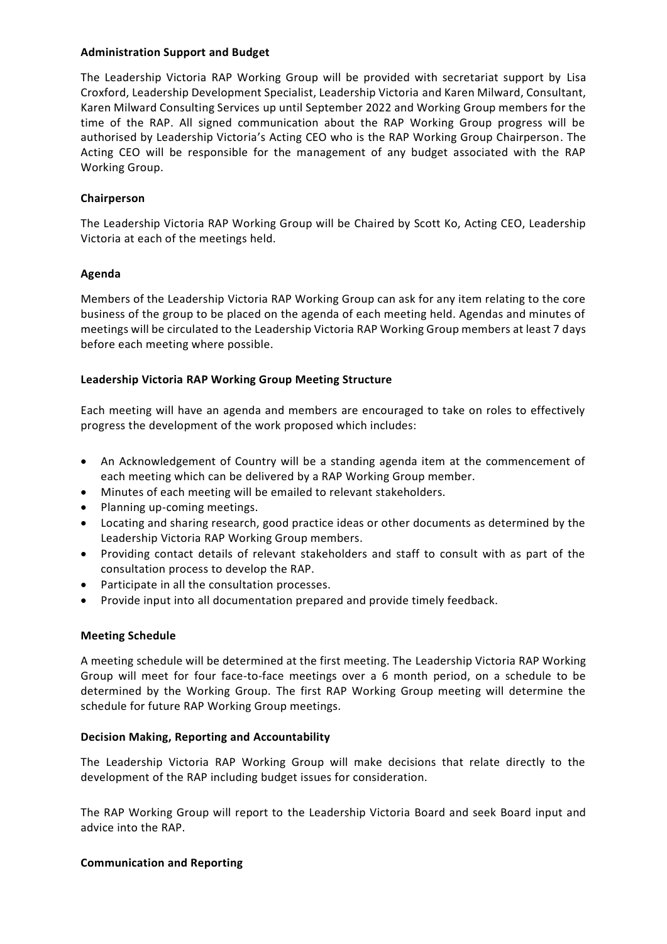## **Administration Support and Budget**

The Leadership Victoria RAP Working Group will be provided with secretariat support by Lisa Croxford, Leadership Development Specialist, Leadership Victoria and Karen Milward, Consultant, Karen Milward Consulting Services up until September 2022 and Working Group members for the time of the RAP. All signed communication about the RAP Working Group progress will be authorised by Leadership Victoria's Acting CEO who is the RAP Working Group Chairperson. The Acting CEO will be responsible for the management of any budget associated with the RAP Working Group.

# **Chairperson**

The Leadership Victoria RAP Working Group will be Chaired by Scott Ko, Acting CEO, Leadership Victoria at each of the meetings held.

# **Agenda**

Members of the Leadership Victoria RAP Working Group can ask for any item relating to the core business of the group to be placed on the agenda of each meeting held. Agendas and minutes of meetings will be circulated to the Leadership Victoria RAP Working Group members at least 7 days before each meeting where possible.

# **Leadership Victoria RAP Working Group Meeting Structure**

Each meeting will have an agenda and members are encouraged to take on roles to effectively progress the development of the work proposed which includes:

- An Acknowledgement of Country will be a standing agenda item at the commencement of each meeting which can be delivered by a RAP Working Group member.
- Minutes of each meeting will be emailed to relevant stakeholders.
- Planning up-coming meetings.
- Locating and sharing research, good practice ideas or other documents as determined by the Leadership Victoria RAP Working Group members.
- Providing contact details of relevant stakeholders and staff to consult with as part of the consultation process to develop the RAP.
- Participate in all the consultation processes.
- Provide input into all documentation prepared and provide timely feedback.

## **Meeting Schedule**

A meeting schedule will be determined at the first meeting. The Leadership Victoria RAP Working Group will meet for four face-to-face meetings over a 6 month period, on a schedule to be determined by the Working Group. The first RAP Working Group meeting will determine the schedule for future RAP Working Group meetings.

## **Decision Making, Reporting and Accountability**

The Leadership Victoria RAP Working Group will make decisions that relate directly to the development of the RAP including budget issues for consideration.

The RAP Working Group will report to the Leadership Victoria Board and seek Board input and advice into the RAP.

## **Communication and Reporting**